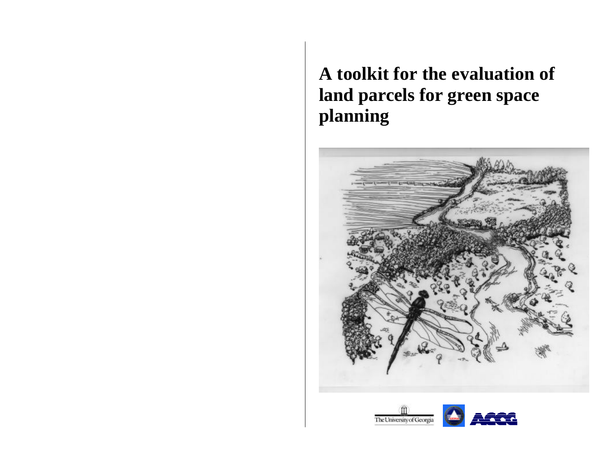**A toolkit for the evaluation of land parcels for green space planning**



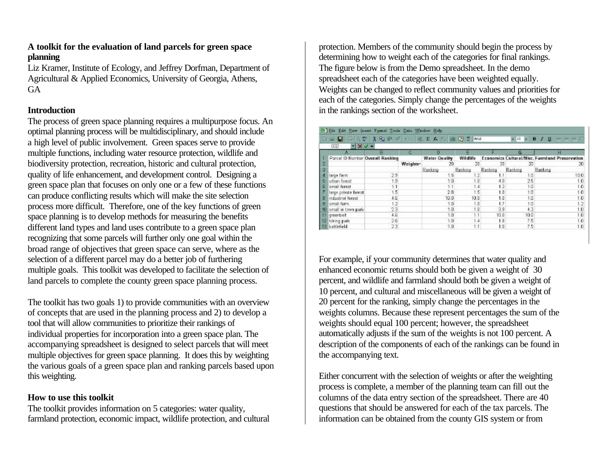## **A toolkit for the evaluation of land parcels for green space planning**

Liz Kramer, Institute of Ecology, and Jeffrey Dorfman, Department of Agricultural & Applied Economics, University of Georgia, Athens, **GA** 

## **Introduction**

The process of green space planning requires a multipurpose focus. An optimal planning process will be multidisciplinary, and should include a high level of public involvement. Green spaces serve to provide multiple functions, including water resource protection, wildlife and biodiversity protection, recreation, historic and cultural protection, quality of life enhancement, and development control. Designing a green space plan that focuses on only one or a few of these functions can produce conflicting results which will make the site selection process more difficult. Therefore, one of the key functions of green space planning is to develop methods for measuring the benefits different land types and land uses contribute to a green space plan recognizing that some parcels will further only one goal within the broad range of objectives that green space can serve, where as the selection of a different parcel may do a better job of furthering multiple goals. This toolkit was developed to facilitate the selection of land parcels to complete the county green space planning process.

The toolkit has two goals 1) to provide communities with an overview of concepts that are used in the planning process and 2) to develop a tool that will allow communities to prioritize their rankings of individual properties for incorporation into a green space plan. The accompanying spreadsheet is designed to select parcels that will meet multiple objectives for green space planning. It does this by weighting the various goals of a green space plan and ranking parcels based upon this weighting.

#### **How to use this toolkit**

The toolkit provides information on 5 categories: water quality, farmland protection, economic impact, wildlife protection, and cultural protection. Members of the community should begin the process by determining how to weight each of the categories for final rankings. The figure below is from the Demo spreadsheet. In the demo spreadsheet each of the categories have been weighted equally. Weights can be changed to reflect community values and priorities for each of the categories. Simply change the percentages of the weights in the rankings section of the worksheet.

|              | <b>DER</b>                       | 最近之 美国最少 二十倍工夫人 進日二 Mia |          |                      |          |                |                 | $\bullet$ 10 $\bullet$ B $I$ U $\leftarrow$ $\leftarrow$ $\leftarrow$ $\uparrow$ |
|--------------|----------------------------------|-------------------------|----------|----------------------|----------|----------------|-----------------|----------------------------------------------------------------------------------|
|              | 632<br>$\mathbf{Y}$ $\mathbf{X}$ |                         |          |                      |          |                |                 |                                                                                  |
|              |                                  |                         |          |                      |          |                |                 |                                                                                  |
|              | Parcel ID Number Overall Ranking |                         |          | <b>Water Quality</b> | Wildlife |                |                 | Economics Cultural/Misc. Farmland Preservation                                   |
|              |                                  |                         | Weights- | 20                   | 20       | 20             | 20              | 20                                                                               |
|              |                                  |                         |          | Ranking              | Ranking  | <b>Banking</b> | <b>Ranking</b>  | Ranking                                                                          |
|              | large farm                       | 29                      |          | 1.5                  | 1.2      |                | 10              | 100                                                                              |
|              | urban forest                     | 9                       |          | 1.0                  | 1.0      | 4.0            | 25              | 10.                                                                              |
| в            | small forest                     |                         |          | 1.1                  | 1.4      | 1.2            | 10 <sub>1</sub> | ١Ū                                                                               |
|              | large private forest             | 15                      |          | 28                   | 1.5      | 1.0            | 10              | $\Omega$                                                                         |
| B            | industrial forest                | 4.6                     |          | 10.0                 | 10.0     | 1:0            | 1.0             | .o                                                                               |
| $\mathbf{B}$ | small farm                       | 1.2                     |          | 1.0                  | 1.0      | 1.7            | 10              |                                                                                  |
|              | 10 small in town park            | 23                      |          | 1.0                  | 1.0      | 3.9            | 43              | $\bf{0}$                                                                         |
| $\mathbb{R}$ | groonbelt                        | 46                      |          | 1.0                  | $-1.1$   | 10.0           | 100             | $\bf{0}$                                                                         |
|              | 12 hiking park                   | 26                      |          | 1.0                  | 1.4      | 1.8            | 75              | 1.0                                                                              |
|              | 13 battlefield                   | 23                      |          | 1.0                  | 1.1      | 1.0            | 75              | 1.0                                                                              |

For example, if your community determines that water quality and enhanced economic returns should both be given a weight of 30 percent, and wildlife and farmland should both be given a weight of 10 percent, and cultural and miscellaneous will be given a weight of 20 percent for the ranking, simply change the percentages in the weights columns. Because these represent percentages the sum of the weights should equal 100 percent; however, the spreadsheet automatically adjusts if the sum of the weights is not 100 percent. A description of the components of each of the rankings can be found in the accompanying text.

Either concurrent with the selection of weights or after the weighting process is complete, a member of the planning team can fill out the columns of the data entry section of the spreadsheet. There are 40 questions that should be answered for each of the tax parcels. The information can be obtained from the county GIS system or from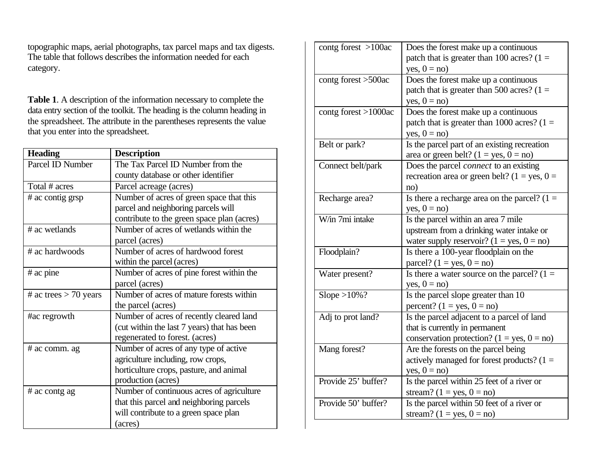topographic maps, aerial photographs, tax parcel maps and tax digests. The table that follows describes the information needed for each category.

**Table 1**. A description of the information necessary to complete the data entry section of the toolkit. The heading is the column heading in the spreadsheet. The attribute in the parentheses represents the value that you enter into the spreadsheet.

| <b>Heading</b>          | <b>Description</b>                          |
|-------------------------|---------------------------------------------|
| Parcel ID Number        | The Tax Parcel ID Number from the           |
|                         | county database or other identifier         |
| Total # acres           | Parcel acreage (acres)                      |
| # ac contig grsp        | Number of acres of green space that this    |
|                         | parcel and neighboring parcels will         |
|                         | contribute to the green space plan (acres)  |
| # ac wetlands           | Number of acres of wetlands within the      |
|                         | parcel (acres)                              |
| # ac hardwoods          | Number of acres of hardwood forest          |
|                         | within the parcel (acres)                   |
| $#$ ac pine             | Number of acres of pine forest within the   |
|                         | parcel (acres)                              |
| # ac trees $> 70$ years | Number of acres of mature forests within    |
|                         | the parcel (acres)                          |
| #ac regrowth            | Number of acres of recently cleared land    |
|                         | (cut within the last 7 years) that has been |
|                         | regenerated to forest. (acres)              |
| # ac comm. ag           | Number of acres of any type of active       |
|                         | agriculture including, row crops,           |
|                         | horticulture crops, pasture, and animal     |
|                         | production (acres)                          |
| # ac contg ag           | Number of continuous acres of agriculture   |
|                         | that this parcel and neighboring parcels    |
|                         | will contribute to a green space plan       |
|                         | (acres)                                     |

| contg forest >100ac  | Does the forest make up a continuous           |
|----------------------|------------------------------------------------|
|                      | patch that is greater than 100 acres? $(1 =$   |
|                      | yes, $0 = no$ )                                |
| contg forest >500ac  | Does the forest make up a continuous           |
|                      | patch that is greater than 500 acres? $(1 =$   |
|                      | yes, $0 = no$ )                                |
| contg forest >1000ac | Does the forest make up a continuous           |
|                      | patch that is greater than 1000 acres? $(1 =$  |
|                      | yes, $0 = no$ )                                |
| Belt or park?        | Is the parcel part of an existing recreation   |
|                      | area or green belt? $(1 = yes, 0 = no)$        |
| Connect belt/park    | Does the parcel <i>connect</i> to an existing  |
|                      | recreation area or green belt? (1 = yes, 0 =   |
|                      | no)                                            |
| Recharge area?       | Is there a recharge area on the parcel? $(1 =$ |
|                      | yes, $0 = no$ )                                |
| W/in 7mi intake      | Is the parcel within an area 7 mile            |
|                      | upstream from a drinking water intake or       |
|                      | water supply reservoir? $(1 = yes, 0 = no)$    |
| Floodplain?          | Is there a 100-year floodplain on the          |
|                      | parcel? $(1 = yes, 0 = no)$                    |
| Water present?       | Is there a water source on the parcel? $(1 =$  |
|                      | yes, $0 = no$ )                                |
| Slope $>10\%$ ?      | Is the parcel slope greater than 10            |
|                      | percent? $(1 = yes, 0 = no)$                   |
| Adj to prot land?    | Is the parcel adjacent to a parcel of land     |
|                      | that is currently in permanent                 |
|                      | conservation protection? $(1 = yes, 0 = no)$   |
| Mang forest?         | Are the forests on the parcel being            |
|                      | actively managed for forest products? $(1 =$   |
|                      | $yes, 0 = no)$                                 |
| Provide 25' buffer?  | Is the parcel within 25 feet of a river or     |
|                      | stream? $(1 = yes, 0 = no)$                    |
| Provide 50' buffer?  | Is the parcel within 50 feet of a river or     |
|                      | stream? $(1 = yes, 0 = no)$                    |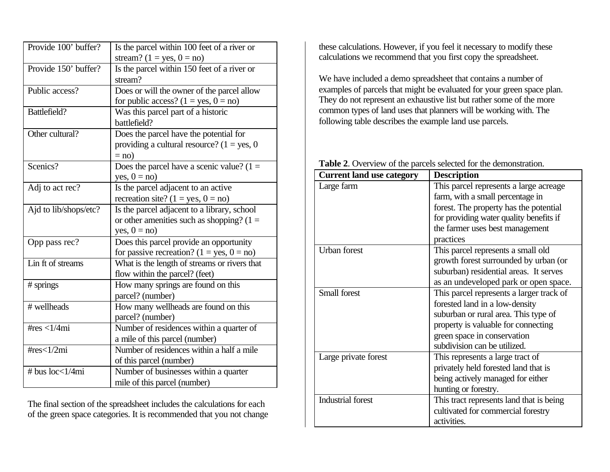| Provide 100' buffer?  | Is the parcel within 100 feet of a river or   |
|-----------------------|-----------------------------------------------|
|                       | stream? $(1 = yes, 0 = no)$                   |
| Provide 150' buffer?  | Is the parcel within 150 feet of a river or   |
|                       | stream?                                       |
| Public access?        | Does or will the owner of the parcel allow    |
|                       | for public access? $(1 = yes, 0 = no)$        |
| Battlefield?          | Was this parcel part of a historic            |
|                       | battlefield?                                  |
| Other cultural?       | Does the parcel have the potential for        |
|                       | providing a cultural resource? $(1 = yes, 0)$ |
|                       | $=$ no)                                       |
| Scenics?              | Does the parcel have a scenic value? $(1 =$   |
|                       | yes, $0 = no$ )                               |
| Adj to act rec?       | Is the parcel adjacent to an active           |
|                       | recreation site? $(1 = yes, 0 = no)$          |
| Ajd to lib/shops/etc? | Is the parcel adjacent to a library, school   |
|                       | or other amenities such as shopping? $(1 =$   |
|                       | yes, $0 = no$ )                               |
| Opp pass rec?         | Does this parcel provide an opportunity       |
|                       | for passive recreation? $(1 = yes, 0 = no)$   |
| Lin ft of streams     | What is the length of streams or rivers that  |
|                       | flow within the parcel? (feet)                |
| # springs             | How many springs are found on this            |
|                       | parcel? (number)                              |
| # wellheads           | How many wellheads are found on this          |
|                       | parcel? (number)                              |
| # $res < 1/4mi$       | Number of residences within a quarter of      |
|                       | a mile of this parcel (number)                |
| # $res<1/2mi$         | Number of residences within a half a mile     |
|                       | of this parcel (number)                       |
| # bus $loc<1/4mi$     | Number of businesses within a quarter         |
|                       | mile of this parcel (number)                  |

The final section of the spreadsheet includes the calculations for each of the green space categories. It is recommended that you not change

these calculations. However, if you feel it necessary to modify these calculations we recommend that you first copy the spreadsheet.

We have included a demo spreadsheet that contains a number of examples of parcels that might be evaluated for your green space plan. They do not represent an exhaustive list but rather some of the more common types of land uses that planners will be working with. The following table describes the example land use parcels.

|  |  |  |  |  |  |  |  |  | Table 2. Overview of the parcels selected for the demonstration. |
|--|--|--|--|--|--|--|--|--|------------------------------------------------------------------|
|--|--|--|--|--|--|--|--|--|------------------------------------------------------------------|

| <b>Current land use category</b> | <b>Description</b>                       |
|----------------------------------|------------------------------------------|
| Large farm                       | This parcel represents a large acreage   |
|                                  | farm, with a small percentage in         |
|                                  | forest. The property has the potential   |
|                                  | for providing water quality benefits if  |
|                                  | the farmer uses best management          |
|                                  | practices                                |
| <b>Urban</b> forest              | This parcel represents a small old       |
|                                  | growth forest surrounded by urban (or    |
|                                  | suburban) residential areas. It serves   |
|                                  | as an undeveloped park or open space.    |
| <b>Small forest</b>              | This parcel represents a larger track of |
|                                  | forested land in a low-density           |
|                                  | suburban or rural area. This type of     |
|                                  | property is valuable for connecting      |
|                                  | green space in conservation              |
|                                  | subdivision can be utilized.             |
| Large private forest             | This represents a large tract of         |
|                                  | privately held forested land that is     |
|                                  | being actively managed for either        |
|                                  | hunting or forestry.                     |
| <b>Industrial forest</b>         | This tract represents land that is being |
|                                  | cultivated for commercial forestry       |
|                                  | activities.                              |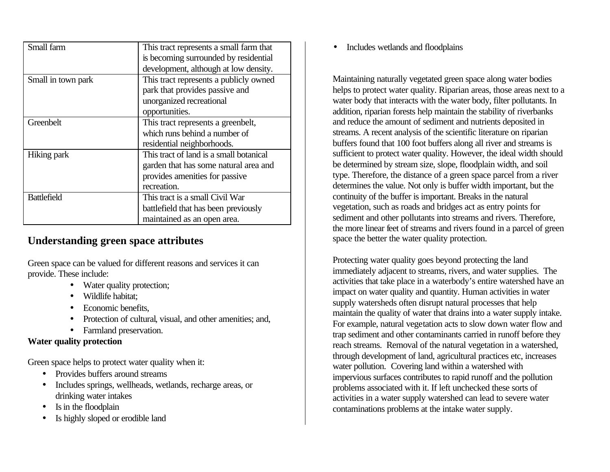| Small farm         | This tract represents a small farm that |
|--------------------|-----------------------------------------|
|                    | is becoming surrounded by residential   |
|                    | development, although at low density.   |
| Small in town park | This tract represents a publicly owned  |
|                    | park that provides passive and          |
|                    | unorganized recreational                |
|                    | opportunities.                          |
| Greenbelt          | This tract represents a greenbelt,      |
|                    | which runs behind a number of           |
|                    | residential neighborhoods.              |
| Hiking park        | This tract of land is a small botanical |
|                    | garden that has some natural area and   |
|                    | provides amenities for passive          |
|                    | recreation.                             |
| <b>Battlefield</b> | This tract is a small Civil War         |
|                    | battlefield that has been previously    |
|                    | maintained as an open area.             |

# **Understanding green space attributes**

Green space can be valued for different reasons and services it can provide. These include:

- Water quality protection;
- Wildlife habitat;
- Economic benefits,
- Protection of cultural, visual, and other amenities; and,
- Farmland preservation.

# **Water quality protection**

Green space helps to protect water quality when it:

- Provides buffers around streams
- Includes springs, wellheads, wetlands, recharge areas, or drinking water intakes
- Is in the floodplain
- Is highly sloped or erodible land

• Includes wetlands and floodplains

Maintaining naturally vegetated green space along water bodies helps to protect water quality. Riparian areas, those areas next to a water body that interacts with the water body, filter pollutants. In addition, riparian forests help maintain the stability of riverbanks and reduce the amount of sediment and nutrients deposited in streams. A recent analysis of the scientific literature on riparian buffers found that 100 foot buffers along all river and streams is sufficient to protect water quality. However, the ideal width should be determined by stream size, slope, floodplain width, and soil type. Therefore, the distance of a green space parcel from a river determines the value. Not only is buffer width important, but the continuity of the buffer is important. Breaks in the natural vegetation, such as roads and bridges act as entry points for sediment and other pollutants into streams and rivers. Therefore, the more linear feet of streams and rivers found in a parcel of green space the better the water quality protection.

Protecting water quality goes beyond protecting the land immediately adjacent to streams, rivers, and water supplies. The activities that take place in a waterbody's entire watershed have an impact on water quality and quantity. Human activities in water supply watersheds often disrupt natural processes that help maintain the quality of water that drains into a water supply intake. For example, natural vegetation acts to slow down water flow and trap sediment and other contaminants carried in runoff before they reach streams. Removal of the natural vegetation in a watershed, through development of land, agricultural practices etc, increases water pollution. Covering land within a watershed with impervious surfaces contributes to rapid runoff and the pollution problems associated with it. If left unchecked these sorts of activities in a water supply watershed can lead to severe water contaminations problems at the intake water supply.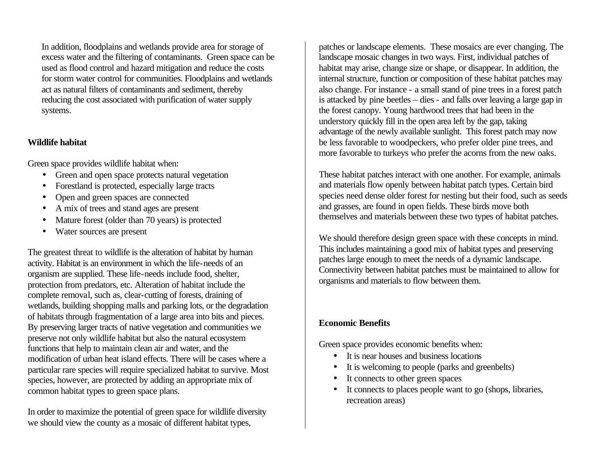In addition, floodplains and wetlands provide area for storage of excess water and the filtering of contaminants. Green space can be used as flood control and hazard mitigation and reduce the costs for storm water control for communities. Floodplains and wetlands act as natural filters of contaminants and sediment, thereby reducing the cost associated with purification of water supply systems.

#### **Wildlife habitat**

Green space provides wildlife habitat when:

- Green and open space protects natural vegetation
- Forestland is protected, especially large tracts
- Open and green spaces are connected
- A mix of trees and stand ages are present
- Mature forest (older than 70 years) is protected
- Water sources are present

The greatest threat to wildlife is the alteration of habitat by human activity. Habitat is an environment in which the life-needs of an organism are supplied. These life-needs include food, shelter, protection from predators, etc. Alteration of habitat include the complete removal, such as, clear-cutting of forests, draining of wetlands, building shopping malls and parking lots, or the degradation of habitats through fragmentation of a large area into bits and pieces. By preserving larger tracts of native vegetation and communities we preserve not only wildlife habitat but also the natural ecosystem functions that help to maintain clean air and water, and the modification of urban heat island effects. There will be cases where a particular rare species will require specialized habitat to survive. Most species, however, are protected by adding an appropriate mix of common habitat types to green space plans.

In order to maximize the potential of green space for wildlife diversity we should view the county as a mosaic of different habitat types,

patches or landscape elements. These mosaics are ever changing. The landscape mosaic changes in two ways. First, individual patches of habitat may arise, change size or shape, or disappear. In addition, the internal structure, function or composition of these habitat patches may also change. For instance - a small stand of pine trees in a forest patch is attacked by pine beetles – dies - and falls over leaving a large gap in the forest canopy. Young hardwood trees that had been in the understory quickly fill in the open area left by the gap, taking advantage of the newly available sunlight. This forest patch may now be less favorable to woodpeckers, who prefer older pine trees, and more favorable to turkeys who prefer the acorns from the new oaks.

These habitat patches interact with one another. For example, animals and materials flow openly between habitat patch types. Certain bird species need dense older forest for nesting but their food, such as seeds and grasses, are found in open fields. These birds move both themselves and materials between these two types of habitat patches.

We should therefore design green space with these concepts in mind. This includes maintaining a good mix of habitat types and preserving patches large enough to meet the needs of a dynamic landscape. Connectivity between habitat patches must be maintained to allow for organisms and materials to flow between them.

# **Economic Benefits**

Green space provides economic benefits when:

- It is near houses and business locations
- It is welcoming to people (parks and greenbelts)
- It connects to other green spaces
- It connects to places people want to go (shops, libraries, recreation areas)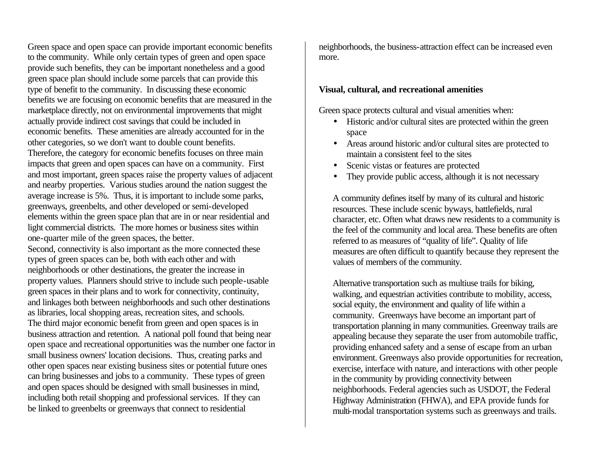Green space and open space can provide important economic benefits to the community. While only certain types of green and open space provide such benefits, they can be important nonetheless and a good green space plan should include some parcels that can provide this type of benefit to the community. In discussing these economic benefits we are focusing on economic benefits that are measured in the marketplace directly, not on environmental improvements that might actually provide indirect cost savings that could be included in economic benefits. These amenities are already accounted for in the other categories, so we don't want to double count benefits. Therefore, the category for economic benefits focuses on three main impacts that green and open spaces can have on a community. First and most important, green spaces raise the property values of adjacent and nearby properties. Various studies around the nation suggest the average increase is 5%. Thus, it is important to include some parks, greenways, greenbelts, and other developed or semi-developed elements within the green space plan that are in or near residential and light commercial districts. The more homes or business sites within one-quarter mile of the green spaces, the better.

Second, connectivity is also important as the more connected these types of green spaces can be, both with each other and with neighborhoods or other destinations, the greater the increase in property values. Planners should strive to include such people-usable green spaces in their plans and to work for connectivity, continuity, and linkages both between neighborhoods and such other destinations as libraries, local shopping areas, recreation sites, and schools. The third major economic benefit from green and open spaces is in business attraction and retention. A national poll found that being near open space and recreational opportunities was the number one factor in small business owners' location decisions. Thus, creating parks and other open spaces near existing business sites or potential future ones can bring businesses and jobs to a community. These types of green and open spaces should be designed with small businesses in mind, including both retail shopping and professional services. If they can be linked to greenbelts or greenways that connect to residential

neighborhoods, the business-attraction effect can be increased even more.

#### **Visual, cultural, and recreational amenities**

Green space protects cultural and visual amenities when:

- Historic and/or cultural sites are protected within the green space
- Areas around historic and/or cultural sites are protected to maintain a consistent feel to the sites
- Scenic vistas or features are protected
- They provide public access, although it is not necessary

A community defines itself by many of its cultural and historic resources. These include scenic byways, battlefields, rural character, etc. Often what draws new residents to a community is the feel of the community and local area. These benefits are often referred to as measures of "quality of life". Quality of life measures are often difficult to quantify because they represent the values of members of the community.

Alternative transportation such as multiuse trails for biking, walking, and equestrian activities contribute to mobility, access, social equity, the environment and quality of life within a community. Greenways have become an important part of transportation planning in many communities. Greenway trails are appealing because they separate the user from automobile traffic, providing enhanced safety and a sense of escape from an urban environment. Greenways also provide opportunities for recreation, exercise, interface with nature, and interactions with other people in the community by providing connectivity between neighborhoods. Federal agencies such as USDOT, the Federal Highway Administration (FHWA), and EPA provide funds for multi-modal transportation systems such as greenways and trails.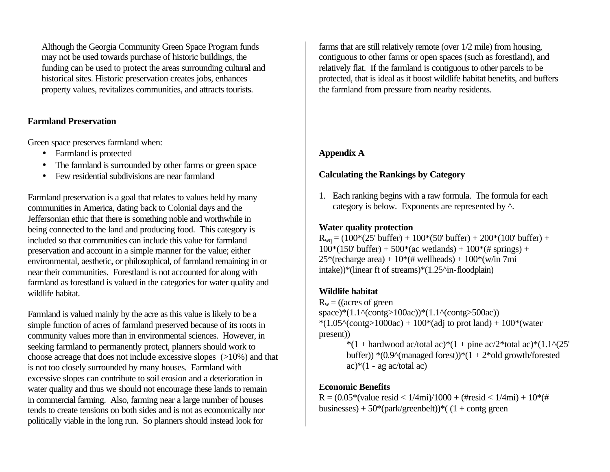Although the Georgia Community Green Space Program funds may not be used towards purchase of historic buildings, the funding can be used to protect the areas surrounding cultural and historical sites. Historic preservation creates jobs, enhances property values, revitalizes communities, and attracts tourists.

#### **Farmland Preservation**

Green space preserves farmland when:

- Farmland is protected
- The farmland is surrounded by other farms or green space
- Few residential subdivisions are near farmland

Farmland preservation is a goal that relates to values held by many communities in America, dating back to Colonial days and the Jeffersonian ethic that there is something noble and worthwhile in being connected to the land and producing food. This category is included so that communities can include this value for farmland preservation and account in a simple manner for the value; either environmental, aesthetic, or philosophical, of farmland remaining in or near their communities. Forestland is not accounted for along with farmland as forestland is valued in the categories for water quality and wildlife habitat.

Farmland is valued mainly by the acre as this value is likely to be a simple function of acres of farmland preserved because of its roots in community values more than in environmental sciences. However, in seeking farmland to permanently protect, planners should work to choose acreage that does not include excessive slopes (>10%) and that is not too closely surrounded by many houses. Farmland with excessive slopes can contribute to soil erosion and a deterioration in water quality and thus we should not encourage these lands to remain in commercial farming. Also, farming near a large number of houses tends to create tensions on both sides and is not as economically nor politically viable in the long run. So planners should instead look for

farms that are still relatively remote (over 1/2 mile) from housing, contiguous to other farms or open spaces (such as forestland), and relatively flat. If the farmland is contiguous to other parcels to be protected, that is ideal as it boost wildlife habitat benefits, and buffers the farmland from pressure from nearby residents.

# **Appendix A**

# **Calculating the Rankings by Category**

1. Each ranking begins with a raw formula. The formula for each category is below. Exponents are represented by ^.

## **Water quality protection**

 $R_{wa} = (100*(25' \text{ buffer}) + 100*(50' \text{ buffer}) + 200*(100' \text{ buffer}) +$  $100*(150'$  buffer) +  $500*(ac$  wetlands) +  $100*(\text{\# springs})$  +  $25*(\text{recharge area}) + 10*(\text{# wellheads}) + 100*(\text{w/in 7mi})$ intake))\*(linear ft of streams)\*(1.25^in-floodplain)

# **Wildlife habitat**

 $R_w =$  ((acres of green space)\*(1.1^(contg>100ac))\*(1.1^(contg>500ac)) \* $(1.05^{\circ}(\text{contg}>1000ac) + 100^{\circ}(\text{adj to prot land}) + 100^{\circ}(\text{water})$ present)) \*(1 + hardwood ac/total ac)\*(1 + pine ac/2\*total ac)\*(1.1^(25' buffer))  $*(0.9^{\circ}$ (managed forest)) $*(1 + 2^{\circ}$ old growth/forested

ac)\* $(1 - \text{ag ac/total ac})$ 

# **Economic Benefits**

 $R = (0.05*(value \text{ reside} < 1/4\text{mi})/1000 + (\text{fresid} < 1/4\text{mi}) + 10*(\text{ft}$ businesses) +  $50*(park/greenbelt))*(1 + contg green$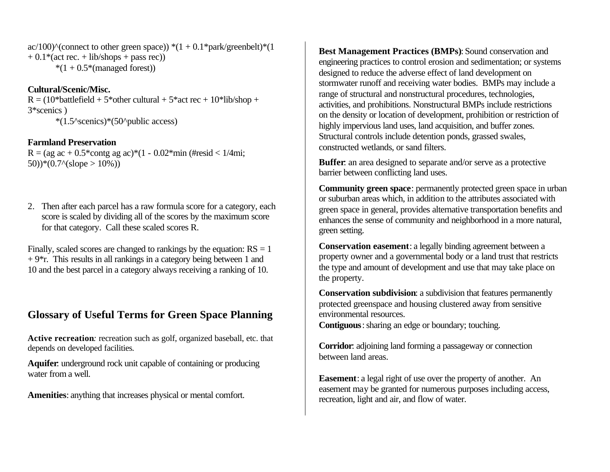ac/100)^(connect to other green space)) \*(1 + 0.1\*park/greenbelt)\*(1  $+ 0.1*(act rec. + lib/shops + pass rec))$  $*(1 + 0.5*(manged forest))$ 

#### **Cultural/Scenic/Misc.**

 $R = (10*battlefield + 5*other cultural + 5*act rec + 10*libshop +$ 3\*scenics ) \*(1.5^scenics)\*(50^public access)

#### **Farmland Preservation**

 $R = (ag ac + 0.5*contg ag ac)*(1 - 0.02*min (Hresid < 1/4mi))$ 50))\*(0.7^(slope > 10%))

2. Then after each parcel has a raw formula score for a category, each score is scaled by dividing all of the scores by the maximum score for that category. Call these scaled scores R.

Finally, scaled scores are changed to rankings by the equation:  $RS = 1$  $+9$ <sup>\*</sup>r. This results in all rankings in a category being between 1 and 10 and the best parcel in a category always receiving a ranking of 10.

# **Glossary of Useful Terms for Green Space Planning**

**Active recreation***:* recreation such as golf, organized baseball, etc. that depends on developed facilities*.*

**Aquifer**: underground rock unit capable of containing or producing water from a well.

**Amenities**: anything that increases physical or mental comfort.

**Best Management Practices (BMPs)**: Sound conservation and engineering practices to control erosion and sedimentation; or systems designed to reduce the adverse effect of land development on stormwater runoff and receiving water bodies. BMPs may include a range of structural and nonstructural procedures, technologies, activities, and prohibitions. Nonstructural BMPs include restrictions on the density or location of development, prohibition or restriction of highly impervious land uses, land acquisition, and buffer zones. Structural controls include detention ponds, grassed swales, constructed wetlands, or sand filters.

**Buffer**: an area designed to separate and/or serve as a protective barrier between conflicting land uses.

**Community green space**: permanently protected green space in urban or suburban areas which, in addition to the attributes associated with green space in general, provides alternative transportation benefits and enhances the sense of community and neighborhood in a more natural, green setting.

**Conservation easement**: a legally binding agreement between a property owner and a governmental body or a land trust that restricts the type and amount of development and use that may take place on the property.

**Conservation subdivision**: a subdivision that features permanently protected greenspace and housing clustered away from sensitive environmental resources.

**Contiguous**: sharing an edge or boundary; touching.

**Corridor**: adjoining land forming a passageway or connection between land areas.

**Easement**: a legal right of use over the property of another. An easement may be granted for numerous purposes including access, recreation, light and air, and flow of water.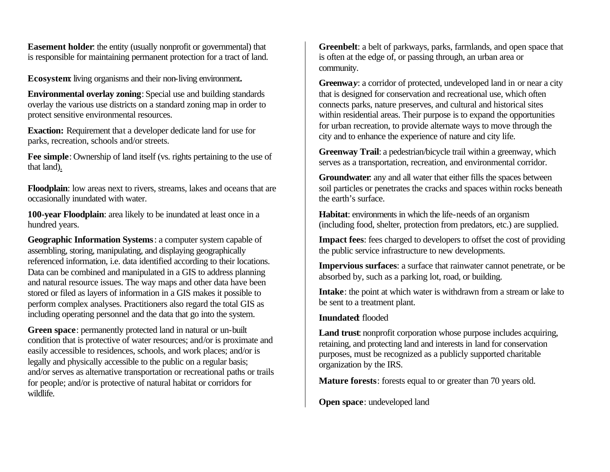**Easement holder**: the entity (usually nonprofit or governmental) that is responsible for maintaining permanent protection for a tract of land.

**Ecosystem**: living organisms and their non-living environment*.*

**Environmental overlay zoning**: Special use and building standards overlay the various use districts on a standard zoning map in order to protect sensitive environmental resources.

**Exaction:** Requirement that a developer dedicate land for use for parks, recreation, schools and/or streets.

**Fee simple**: Ownership of land itself (vs. rights pertaining to the use of that land).

**Floodplain**: low areas next to rivers, streams, lakes and oceans that are occasionally inundated with water.

**100-year Floodplain**: area likely to be inundated at least once in a hundred years.

**Geographic Information Systems**: a computer system capable of assembling, storing, manipulating, and displaying geographically referenced information, i.e. data identified according to their locations. Data can be combined and manipulated in a GIS to address planning and natural resource issues. The way maps and other data have been stored or filed as layers of information in a GIS makes it possible to perform complex analyses. Practitioners also regard the total GIS as including operating personnel and the data that go into the system.

**Green space**: permanently protected land in natural or un-built condition that is protective of water resources; and/or is proximate and easily accessible to residences, schools, and work places; and/or is legally and physically accessible to the public on a regular basis; and/or serves as alternative transportation or recreational paths or trails for people; and/or is protective of natural habitat or corridors for wildlife.

**Greenbelt**: a belt of parkways, parks, farmlands, and open space that is often at the edge of, or passing through, an urban area or community.

**Greenwa***y*: a corridor of protected, undeveloped land in or near a city that is designed for conservation and recreational use, which often connects parks, nature preserves, and cultural and historical sites within residential areas. Their purpose is to expand the opportunities for urban recreation, to provide alternate ways to move through the city and to enhance the experience of nature and city life.

**Greenway Trail**: a pedestrian/bicycle trail within a greenway, which serves as a transportation, recreation, and environmental corridor.

**Groundwater**: any and all water that either fills the spaces between soil particles or penetrates the cracks and spaces within rocks beneath the earth's surface.

**Habitat**: environments in which the life-needs of an organism (including food, shelter, protection from predators, etc.) are supplied.

**Impact fees**: fees charged to developers to offset the cost of providing the public service infrastructure to new developments.

**Impervious surfaces**: a surface that rainwater cannot penetrate, or be absorbed by, such as a parking lot, road, or building.

**Intake**: the point at which water is withdrawn from a stream or lake to be sent to a treatment plant.

#### **Inundated**: flooded

**Land trust**: nonprofit corporation whose purpose includes acquiring, retaining, and protecting land and interests in land for conservation purposes, must be recognized as a publicly supported charitable organization by the IRS.

**Mature forests**: forests equal to or greater than 70 years old.

**Open space**: undeveloped land